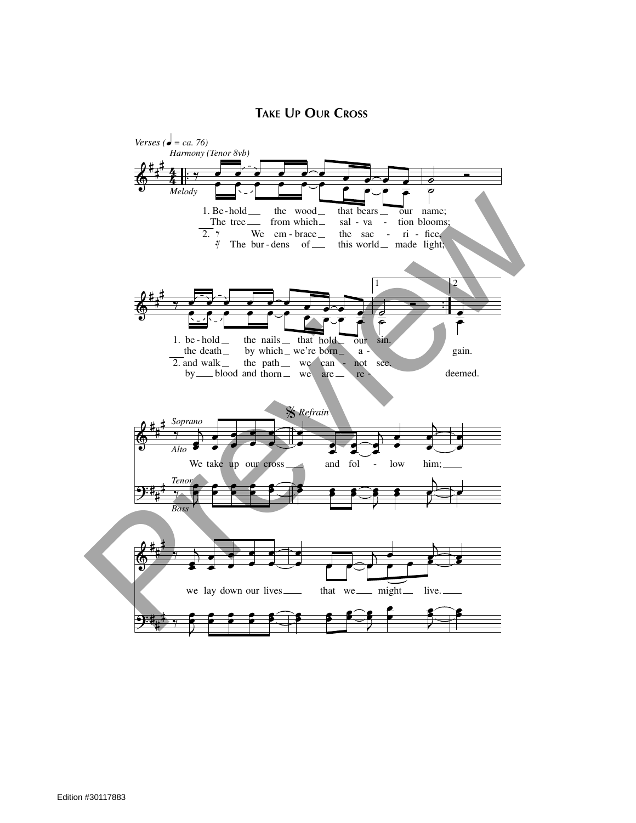## **TAKE UP OUR CROSS**